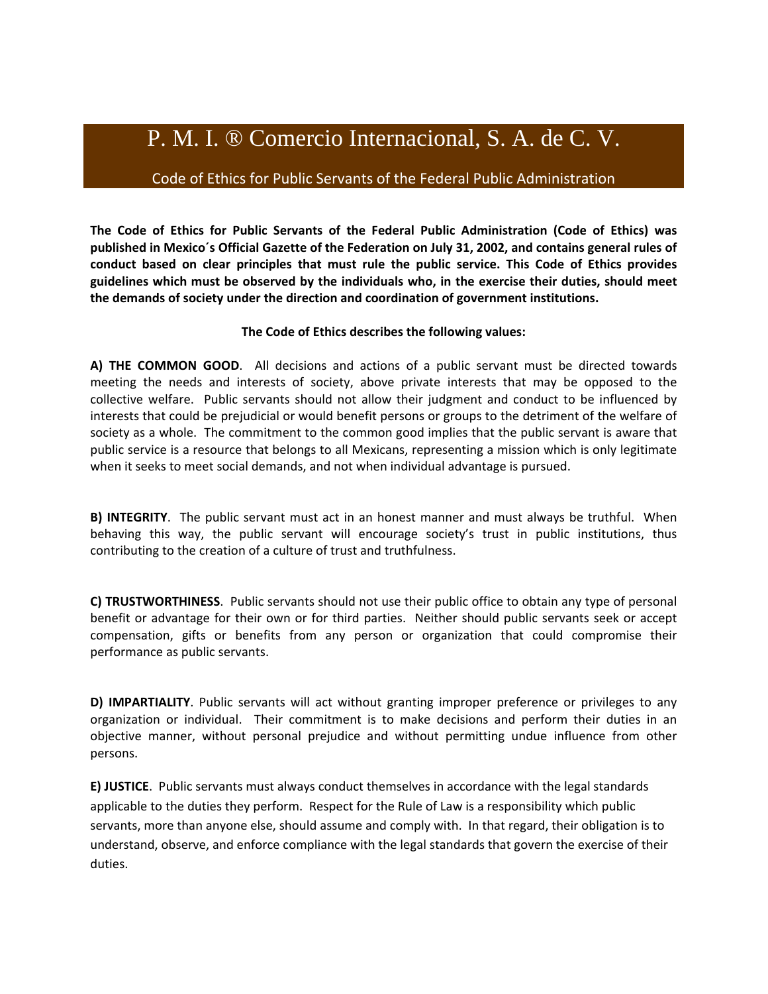## P. M. I. ® Comercio Internacional, S. A. de C. V.

## Code of Ethics for Public Servants of the Federal Public Administration

**The Code of Ethics for Public Servants of the Federal Public Administration (Code of Ethics) was published in Mexico´s Official Gazette of the Federation on July 31, 2002, and contains general rules of conduct based on clear principles that must rule the public service. This Code of Ethics provides guidelines which must be observed by the individuals who, in the exercise their duties, should meet the demands of society under the direction and coordination of government institutions.**

## **The Code of Ethics describes the following values:**

**A) THE COMMON GOOD**. All decisions and actions of a public servant must be directed towards meeting the needs and interests of society, above private interests that may be opposed to the collective welfare. Public servants should not allow their judgment and conduct to be influenced by interests that could be prejudicial or would benefit persons or groups to the detriment of the welfare of society as a whole. The commitment to the common good implies that the public servant is aware that public service is a resource that belongs to all Mexicans, representing a mission which is only legitimate when it seeks to meet social demands, and not when individual advantage is pursued.

**B) INTEGRITY**. The public servant must act in an honest manner and must always be truthful. When behaving this way, the public servant will encourage society's trust in public institutions, thus contributing to the creation of a culture of trust and truthfulness.

**C) TRUSTWORTHINESS**. Public servants should not use their public office to obtain any type of personal benefit or advantage for their own or for third parties. Neither should public servants seek or accept compensation, gifts or benefits from any person or organization that could compromise their performance as public servants.

**D) IMPARTIALITY**. Public servants will act without granting improper preference or privileges to any organization or individual. Their commitment is to make decisions and perform their duties in an objective manner, without personal prejudice and without permitting undue influence from other persons.

**E) JUSTICE**. Public servants must always conduct themselves in accordance with the legal standards applicable to the duties they perform. Respect for the Rule of Law is a responsibility which public servants, more than anyone else, should assume and comply with. In that regard, their obligation is to understand, observe, and enforce compliance with the legal standards that govern the exercise of their duties.